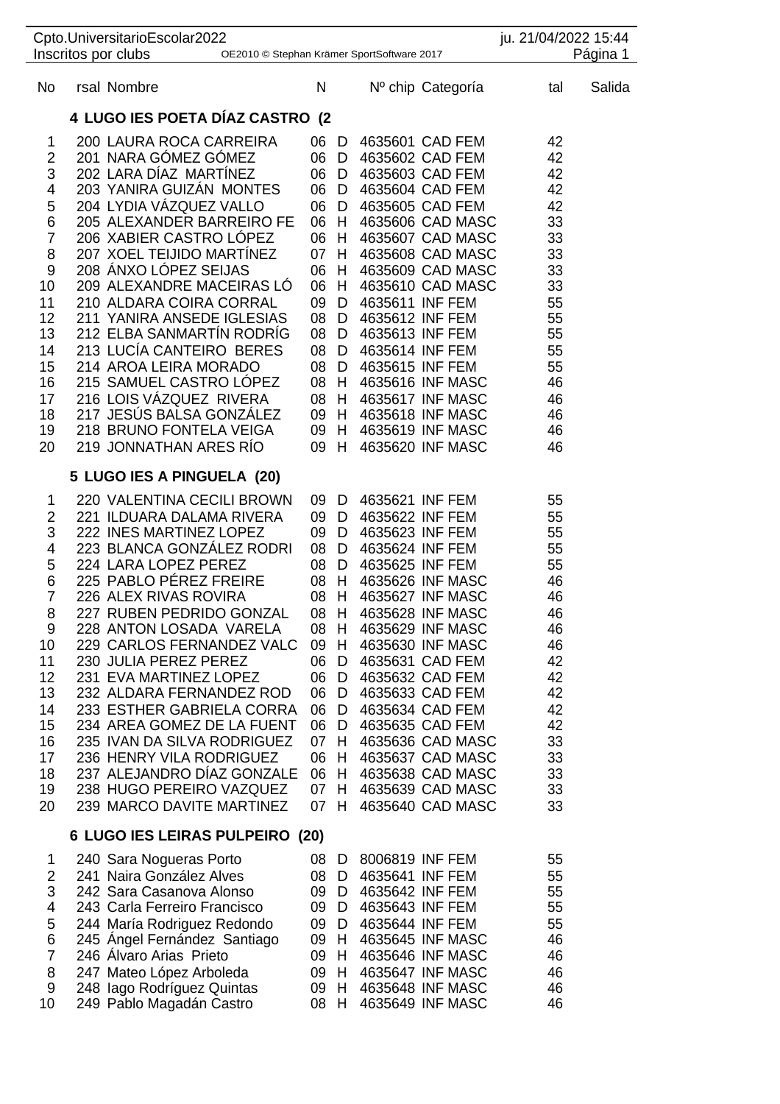| Cpto.UniversitarioEscolar2022<br>Inscritos por clubs<br>OE2010 © Stephan Krämer SportSoftware 2017                                             |                                                                                                                                                                                                                                                                                                                                                                                                                                                                                                                                                                                                          |  |                                                                                                                        |                                                                                                                 |                                                                                             | ju. 21/04/2022 15:44<br>Página 1                                                                                                                                                                                                                                                                                                            |                                                                                                                      |        |
|------------------------------------------------------------------------------------------------------------------------------------------------|----------------------------------------------------------------------------------------------------------------------------------------------------------------------------------------------------------------------------------------------------------------------------------------------------------------------------------------------------------------------------------------------------------------------------------------------------------------------------------------------------------------------------------------------------------------------------------------------------------|--|------------------------------------------------------------------------------------------------------------------------|-----------------------------------------------------------------------------------------------------------------|---------------------------------------------------------------------------------------------|---------------------------------------------------------------------------------------------------------------------------------------------------------------------------------------------------------------------------------------------------------------------------------------------------------------------------------------------|----------------------------------------------------------------------------------------------------------------------|--------|
| No                                                                                                                                             | rsal Nombre                                                                                                                                                                                                                                                                                                                                                                                                                                                                                                                                                                                              |  | N                                                                                                                      |                                                                                                                 |                                                                                             | Nº chip Categoría                                                                                                                                                                                                                                                                                                                           | tal                                                                                                                  | Salida |
|                                                                                                                                                | 4 LUGO IES POETA DÍAZ CASTRO (2                                                                                                                                                                                                                                                                                                                                                                                                                                                                                                                                                                          |  |                                                                                                                        |                                                                                                                 |                                                                                             |                                                                                                                                                                                                                                                                                                                                             |                                                                                                                      |        |
| 1<br>$\overline{\mathbf{c}}$<br>3<br>4<br>5<br>6<br>$\overline{7}$<br>8<br>9<br>10<br>11<br>12<br>13<br>14<br>15<br>16<br>17<br>18<br>19<br>20 | 200 LAURA ROCA CARREIRA<br>201 NARA GÓMEZ GÓMEZ<br>202 LARA DIAZ MARTINEZ<br>203 YANIRA GUIZÁN MONTES<br>204 LYDIA VÁZQUEZ VALLO<br>205 ALEXANDER BARREIRO FE<br>206 XABIER CASTRO LÓPEZ<br>207 XOEL TEIJIDO MARTÍNEZ<br>208 ANXO LÓPEZ SEIJAS<br>209 ALEXANDRE MACEIRAS LÓ<br>210 ALDARA COIRA CORRAL<br>211 YANIRA ANSEDE IGLESIAS<br>212 ELBA SANMARTÍN RODRÍG<br>213 LUCÍA CANTEIRO BERES<br>214 AROA LEIRA MORADO<br>215 SAMUEL CASTRO LOPEZ<br>216 LOIS VÁZQUEZ RIVERA<br>217 JESÚS BALSA GONZÁLEZ<br>218 BRUNO FONTELA VEIGA<br>219 JONNATHAN ARES RÍO                                            |  | 06 D<br>06<br>06<br>06<br>06<br>06<br>06<br>07<br>06<br>06<br>09<br>08<br>08<br>08<br>08<br>08<br>08<br>09<br>09<br>09 | D<br>D<br>D<br>D<br>$H_{\odot}$<br>$H_{\odot}$<br>H<br>H<br>H<br>D<br>D<br>D<br>D<br>D<br>H<br>H<br>H<br>H<br>H | 4635611 INF FEM<br>4635612 INF FEM<br>4635613 INF FEM<br>4635614 INF FEM<br>4635615 INF FEM | 4635601 CAD FEM<br>4635602 CAD FEM<br>4635603 CAD FEM<br>4635604 CAD FEM<br>4635605 CAD FEM<br>4635606 CAD MASC<br>4635607 CAD MASC<br>4635608 CAD MASC<br>4635609 CAD MASC<br>4635610 CAD MASC<br>4635616 INF MASC<br>4635617 INF MASC<br>4635618 INF MASC<br>4635619 INF MASC<br>4635620 INF MASC                                         | 42<br>42<br>42<br>42<br>42<br>33<br>33<br>33<br>33<br>33<br>55<br>55<br>55<br>55<br>55<br>46<br>46<br>46<br>46<br>46 |        |
|                                                                                                                                                |                                                                                                                                                                                                                                                                                                                                                                                                                                                                                                                                                                                                          |  |                                                                                                                        |                                                                                                                 |                                                                                             |                                                                                                                                                                                                                                                                                                                                             |                                                                                                                      |        |
| 1<br>$\overline{c}$<br>3<br>4<br>5<br>6<br>$\overline{7}$<br>8<br>9<br>10<br>11<br>12<br>13<br>14<br>15<br>16<br>17<br>18<br>19<br>20          | 5 LUGO IES A PINGUELA (20)<br>220 VALENTINA CECILI BROWN<br>221 ILDUARA DALAMA RIVERA<br>222 INES MARTINEZ LOPEZ<br>223 BLANCA GONZALEZ RODRI<br>224 LARA LOPEZ PEREZ<br>225 PABLO PEREZ FREIRE<br>226 ALEX RIVAS ROVIRA<br>227 RUBEN PEDRIDO GONZAL<br>228 ANTON LOSADA VARELA<br>229 CARLOS FERNANDEZ VALC<br>230 JULIA PEREZ PEREZ<br>231 EVA MARTINEZ LOPEZ<br>232 ALDARA FERNANDEZ ROD<br>233 ESTHER GABRIELA CORRA<br>234 AREA GOMEZ DE LA FUENT<br>235 IVAN DA SILVA RODRIGUEZ<br>236 HENRY VILA RODRIGUEZ<br>237 ALEJANDRO DÍAZ GONZALE<br>238 HUGO PEREIRO VAZQUEZ<br>239 MARCO DAVITE MARTINEZ |  | 09<br>09<br>09<br>08<br>08<br>08<br>08<br>08<br>08 H<br>09<br>06<br>06<br>06<br>06<br>06<br>07<br>06<br>06<br>07<br>07 | D<br>D<br>D<br>D<br>D<br>H.<br>H<br>H<br>H<br>D<br>D<br>D<br>D<br>D<br>H.<br>H<br>H<br>H                        | 4635621 INF FEM<br>4635624 INF FEM<br>4635625 INF FEM                                       | 4635622 INF FEM<br>4635623 INF FEM<br>4635626 INF MASC<br>4635627 INF MASC<br>4635628 INF MASC<br>4635629 INF MASC<br>4635630 INF MASC<br>4635631 CAD FEM<br>4635632 CAD FEM<br>4635633 CAD FEM<br>4635634 CAD FEM<br>4635635 CAD FEM<br>4635636 CAD MASC<br>4635637 CAD MASC<br>H 4635638 CAD MASC<br>4635639 CAD MASC<br>4635640 CAD MASC | 55<br>55<br>55<br>55<br>55<br>46<br>46<br>46<br>46<br>46<br>42<br>42<br>42<br>42<br>42<br>33<br>33<br>33<br>33<br>33 |        |
|                                                                                                                                                | 6 LUGO IES LEIRAS PULPEIRO (20)                                                                                                                                                                                                                                                                                                                                                                                                                                                                                                                                                                          |  |                                                                                                                        |                                                                                                                 |                                                                                             |                                                                                                                                                                                                                                                                                                                                             |                                                                                                                      |        |
| 1<br>$\overline{2}$<br>3<br>4<br>5<br>6<br>$\overline{7}$<br>8<br>9<br>10                                                                      | 240 Sara Nogueras Porto<br>241 Naira González Alves<br>242 Sara Casanova Alonso<br>243 Carla Ferreiro Francisco<br>244 María Rodriguez Redondo<br>245 Angel Fernández Santiago<br>246 Alvaro Arias Prieto<br>247 Mateo López Arboleda<br>248 Iago Rodríguez Quintas<br>249 Pablo Magadán Castro                                                                                                                                                                                                                                                                                                          |  | 08<br>08<br>09<br>09<br>09<br>09<br>09 H<br>09<br>09<br>08                                                             | D<br>D<br>D<br>D<br>D<br>H<br>H<br>H<br>H.                                                                      | 8006819 INF FEM<br>4635641 INF FEM<br>4635642 INF FEM<br>4635643 INF FEM<br>4635644 INF FEM | 4635645 INF MASC<br>4635646 INF MASC<br>4635647 INF MASC<br>4635648 INF MASC<br>4635649 INF MASC                                                                                                                                                                                                                                            | 55<br>55<br>55<br>55<br>55<br>46<br>46<br>46<br>46<br>46                                                             |        |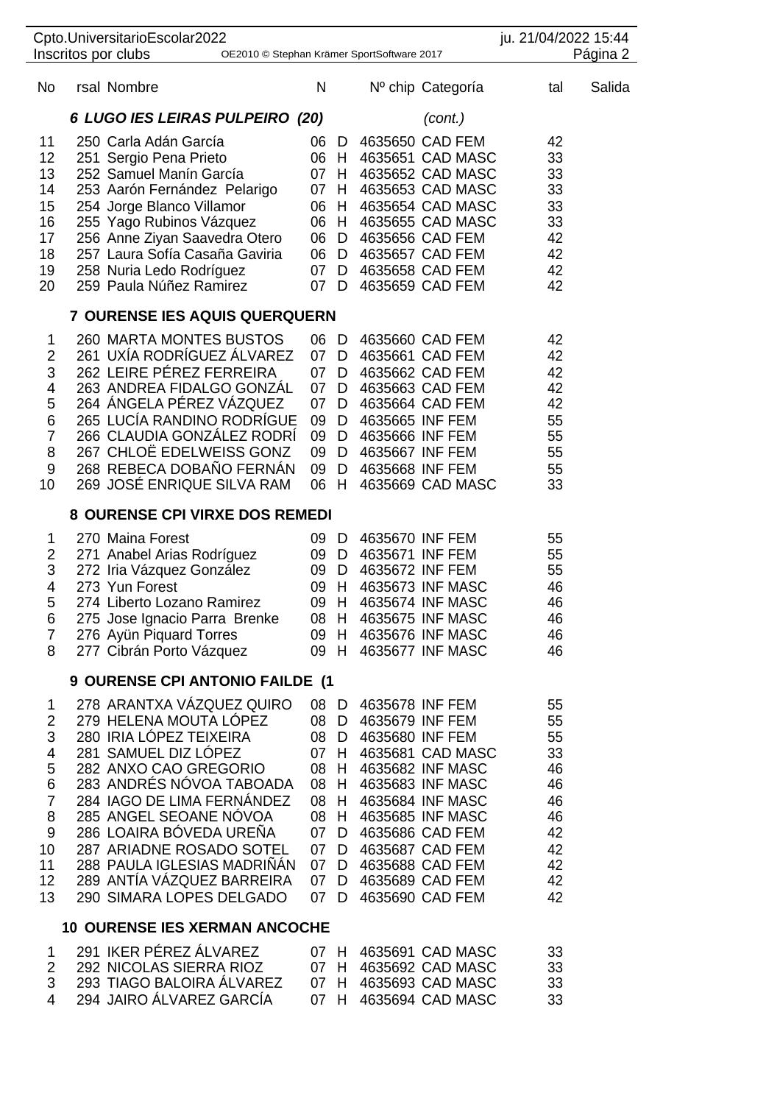|                                                                                             | Cpto.UniversitarioEscolar2022<br>Inscritos por clubs                                                                                                                                                                                                                                                                                                                | OE2010 © Stephan Krämer SportSoftware 2017                 |                                                                   |                                                                                     |                                                                                                                                                                                                                          | ju. 21/04/2022 15:44                                                       | Página 2 |
|---------------------------------------------------------------------------------------------|---------------------------------------------------------------------------------------------------------------------------------------------------------------------------------------------------------------------------------------------------------------------------------------------------------------------------------------------------------------------|------------------------------------------------------------|-------------------------------------------------------------------|-------------------------------------------------------------------------------------|--------------------------------------------------------------------------------------------------------------------------------------------------------------------------------------------------------------------------|----------------------------------------------------------------------------|----------|
| No                                                                                          | rsal Nombre                                                                                                                                                                                                                                                                                                                                                         | Ν                                                          |                                                                   |                                                                                     | Nº chip Categoría                                                                                                                                                                                                        | tal                                                                        | Salida   |
|                                                                                             | 6 LUGO IES LEIRAS PULPEIRO (20)                                                                                                                                                                                                                                                                                                                                     |                                                            |                                                                   |                                                                                     | (cont.)                                                                                                                                                                                                                  |                                                                            |          |
| 11<br>12<br>13<br>14<br>15<br>16<br>17<br>18<br>19<br>20                                    | 250 Carla Adán García<br>251 Sergio Pena Prieto<br>252 Samuel Manín García<br>253 Aarón Fernández Pelarigo<br>254 Jorge Blanco Villamor<br>255 Yago Rubinos Vázquez<br>256 Anne Ziyan Saavedra Otero<br>257 Laura Sofía Casaña Gaviria<br>258 Nuria Ledo Rodríguez<br>259 Paula Núñez Ramirez                                                                       | 06                                                         | D<br>06 H<br>07 H<br>07 H<br>07 D                                 |                                                                                     | 4635650 CAD FEM<br>4635651 CAD MASC<br>4635652 CAD MASC<br>4635653 CAD MASC<br>06 H 4635654 CAD MASC<br>06 H 4635655 CAD MASC<br>06 D 4635656 CAD FEM<br>06 D 4635657 CAD FEM<br>07 D 4635658 CAD FEM<br>4635659 CAD FEM | 42<br>33<br>33<br>33<br>33<br>33<br>42<br>42<br>42<br>42                   |          |
|                                                                                             | 7 OURENSE IES AQUIS QUERQUERN                                                                                                                                                                                                                                                                                                                                       |                                                            |                                                                   |                                                                                     |                                                                                                                                                                                                                          |                                                                            |          |
| 1<br>2<br>3<br>4<br>5<br>6<br>$\overline{7}$<br>8<br>9<br>10                                | <b>260 MARTA MONTES BUSTOS</b><br>261 UXIA RODRIGUEZ ALVAREZ<br>262 LEIRE PÉREZ FERREIRA<br>263 ANDREA FIDALGO GONZÁL<br>264 ÁNGELA PÉREZ VÁZQUEZ<br>265 LUCÍA RANDINO RODRÍGUE<br>266 CLAUDIA GONZÁLEZ RODRÍ<br>267 CHLOË EDELWEISS GONZ<br>268 REBECA DOBAÑO FERNÁN<br>269 JOSÉ ENRIQUE SILVA RAM                                                                 | 07<br>07<br>07<br>07<br>09<br>09<br>09<br>06               | 06 D<br>D<br>D<br>D<br>D<br>H                                     | D 4635665 INF FEM<br>D 4635666 INF FEM<br>09 D 4635667 INF FEM<br>D 4635668 INF FEM | 4635660 CAD FEM<br>4635661 CAD FEM<br>4635662 CAD FEM<br>4635663 CAD FEM<br>4635664 CAD FEM<br>4635669 CAD MASC                                                                                                          | 42<br>42<br>42<br>42<br>42<br>55<br>55<br>55<br>55<br>33                   |          |
|                                                                                             | 8 OURENSE CPI VIRXE DOS REMEDI                                                                                                                                                                                                                                                                                                                                      |                                                            |                                                                   |                                                                                     |                                                                                                                                                                                                                          |                                                                            |          |
| 1<br>$\overline{\mathbf{c}}$<br>3<br>4<br>5<br>6<br>7<br>8                                  | 270 Maina Forest<br>271 Anabel Arias Rodríguez<br>272 Iria Vázquez González<br>273 Yun Forest<br>274 Liberto Lozano Ramirez<br>275 Jose Ignacio Parra Brenke<br>276 Ayün Piquard Torres<br>277 Cibrán Porto Vázquez                                                                                                                                                 |                                                            | 09 H<br>09 H                                                      | 09 D 4635670 INF FEM<br>09 D 4635671 INF FEM<br>09 D 4635672 INF FEM                | 09 H 4635673 INF MASC<br>09 H 4635674 INF MASC<br>08 H 4635675 INF MASC<br>4635676 INF MASC<br>4635677 INF MASC                                                                                                          | 55<br>55<br>55<br>46<br>46<br>46<br>46<br>46                               |          |
|                                                                                             | 9 OURENSE CPI ANTONIO FAILDE (1                                                                                                                                                                                                                                                                                                                                     |                                                            |                                                                   |                                                                                     |                                                                                                                                                                                                                          |                                                                            |          |
| 1<br>$\overline{2}$<br>3<br>4<br>5<br>6<br>$\overline{7}$<br>8<br>9<br>10<br>11<br>12<br>13 | 278 ARANTXA VÁZQUEZ QUIRO<br>279 HELENA MOUTA LOPEZ<br>280 IRIA LÓPEZ TEIXEIRA<br>281 SAMUEL DIZ LÓPEZ<br>282 ANXO CAO GREGORIO<br>283 ANDRÉS NÓVOA TABOADA<br>284 IAGO DE LIMA FERNÁNDEZ<br>285 ANGEL SEOANE NÓVOA<br>286 LOAIRA BÓVEDA UREÑA<br>287 ARIADNE ROSADO SOTEL<br>288 PAULA IGLESIAS MADRIÑAN<br>289 ANTIA VÁZQUEZ BARREIRA<br>290 SIMARA LOPES DELGADO | 08<br>08<br>08<br>08<br>08<br>07<br>07<br>07<br>07<br>07 D | 08 D<br>08 D<br>D<br>07 H<br>H<br>H<br>H<br>H<br>D<br>D<br>D<br>D | 4635678 INF FEM<br>4635679 INF FEM<br>4635680 INF FEM                               | 4635681 CAD MASC<br>4635682 INF MASC<br>4635683 INF MASC<br>4635684 INF MASC<br>4635685 INF MASC<br>4635686 CAD FEM<br>4635687 CAD FEM<br>4635688 CAD FEM<br>4635689 CAD FEM<br>4635690 CAD FEM                          | 55<br>55<br>55<br>33<br>46<br>46<br>46<br>46<br>42<br>42<br>42<br>42<br>42 |          |
|                                                                                             | <b>10 OURENSE IES XERMAN ANCOCHE</b>                                                                                                                                                                                                                                                                                                                                |                                                            |                                                                   |                                                                                     |                                                                                                                                                                                                                          |                                                                            |          |
| 1<br>$\overline{c}$<br>3<br>4                                                               | 291 IKER PÉREZ ÁLVAREZ<br>292 NICOLAS SIERRA RIOZ<br>293 TIAGO BALOIRA ALVAREZ<br>294 JAIRO ÁLVAREZ GARCÍA                                                                                                                                                                                                                                                          | 07                                                         | 07 H<br>07 H<br>07 H<br>H                                         |                                                                                     | 4635691 CAD MASC<br>4635692 CAD MASC<br>4635693 CAD MASC<br>4635694 CAD MASC                                                                                                                                             | 33<br>33<br>33<br>33                                                       |          |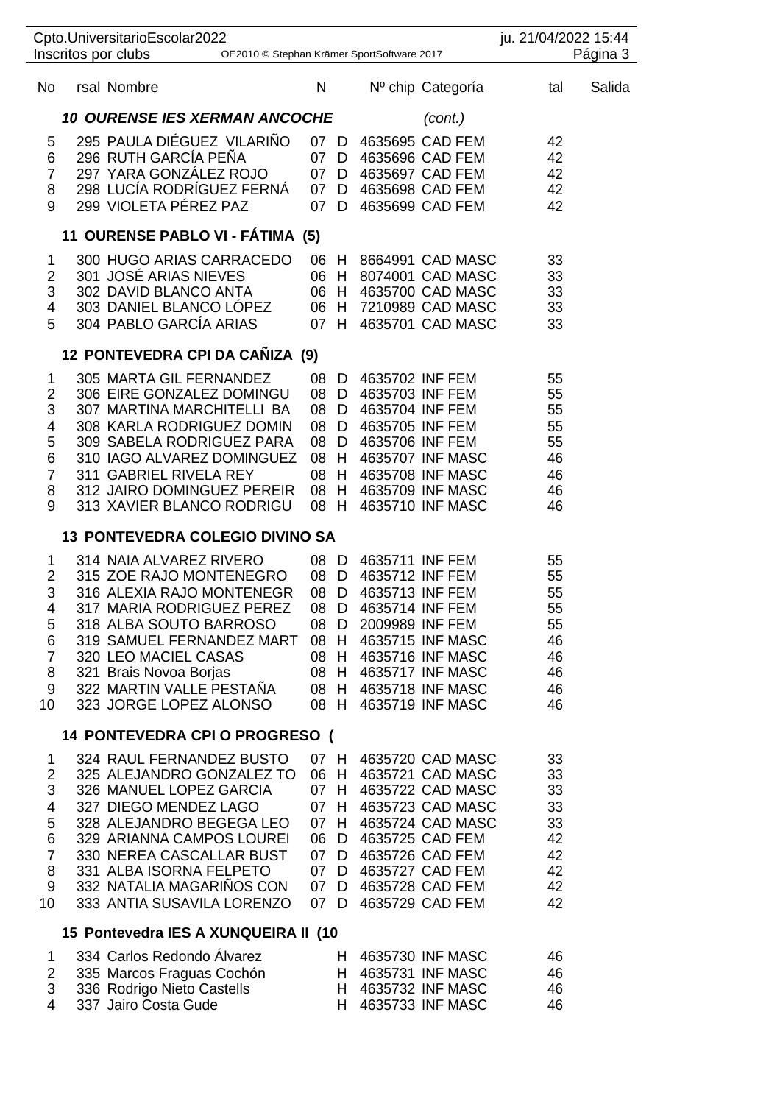|                                                                           | Cpto.UniversitarioEscolar2022<br>Inscritos por clubs<br>OE2010 © Stephan Krämer SportSoftware 2017                                                                                                                                                                                   |                                                      |                                                  |                                                                                             |                                                                                                                                                                                                                            | ju. 21/04/2022 15:44                                     | Página 3 |
|---------------------------------------------------------------------------|--------------------------------------------------------------------------------------------------------------------------------------------------------------------------------------------------------------------------------------------------------------------------------------|------------------------------------------------------|--------------------------------------------------|---------------------------------------------------------------------------------------------|----------------------------------------------------------------------------------------------------------------------------------------------------------------------------------------------------------------------------|----------------------------------------------------------|----------|
| No                                                                        | rsal Nombre                                                                                                                                                                                                                                                                          | N                                                    |                                                  |                                                                                             | Nº chip Categoría                                                                                                                                                                                                          | tal                                                      | Salida   |
|                                                                           | <b>10 OURENSE IES XERMAN ANCOCHE</b>                                                                                                                                                                                                                                                 |                                                      |                                                  |                                                                                             | (cont.)                                                                                                                                                                                                                    |                                                          |          |
| 5<br>6<br>7<br>8<br>9                                                     | 295 PAULA DIÉGUEZ VILARIÑO<br>296 RUTH GARCÍA PEÑA<br>297 YARA GONZALEZ ROJO<br>298 LUCÍA RODRÍGUEZ FERNÁ<br>299 VIOLETA PÉREZ PAZ                                                                                                                                                   | 07 D<br>07<br>07<br>07<br>07                         | D<br>D<br>D<br>D                                 |                                                                                             | 4635695 CAD FEM<br>4635696 CAD FEM<br>4635697 CAD FEM<br>4635698 CAD FEM<br>4635699 CAD FEM                                                                                                                                | 42<br>42<br>42<br>42<br>42                               |          |
|                                                                           | 11 OURENSE PABLO VI - FÁTIMA (5)                                                                                                                                                                                                                                                     |                                                      |                                                  |                                                                                             |                                                                                                                                                                                                                            |                                                          |          |
| 1<br>2<br>3<br>4<br>5                                                     | 300 HUGO ARIAS CARRACEDO<br>301 JOSÉ ARIAS NIEVES<br>302 DAVID BLANCO ANTA<br>303 DANIEL BLANCO LÓPEZ<br>304 PABLO GARCÍA ARIAS                                                                                                                                                      | 06 H<br>06<br>06<br>06<br>07                         | H<br>H<br>H.                                     |                                                                                             | 8664991 CAD MASC<br>8074001 CAD MASC<br>4635700 CAD MASC<br>H 7210989 CAD MASC<br>4635701 CAD MASC                                                                                                                         | 33<br>33<br>33<br>33<br>33                               |          |
|                                                                           | 12 PONTEVEDRA CPI DA CAÑIZA (9)                                                                                                                                                                                                                                                      |                                                      |                                                  |                                                                                             |                                                                                                                                                                                                                            |                                                          |          |
| 1<br>$\overline{c}$<br>3<br>4<br>5<br>6<br>$\overline{7}$<br>8<br>9       | 305 MARTA GIL FERNANDEZ<br>306 EIRE GONZALEZ DOMINGU<br>307 MARTINA MARCHITELLI BA<br>308 KARLA RODRIGUEZ DOMIN<br>309 SABELA RODRIGUEZ PARA<br>310 IAGO ALVAREZ DOMINGUEZ<br>311 GABRIEL RIVELA REY<br>312 JAIRO DOMINGUEZ PEREIR<br>313 XAVIER BLANCO RODRIGU                      | 08<br>08<br>08<br>08<br>08<br>08<br>08<br>08<br>08   | D<br>D<br>D<br>D<br>D<br>H.<br>$H_{-}$<br>H<br>H | 4635702 INF FEM<br>4635703 INF FEM<br>4635704 INF FEM<br>4635705 INF FEM<br>4635706 INF FEM | 4635707 INF MASC<br>4635708 INF MASC<br>4635709 INF MASC<br>4635710 INF MASC                                                                                                                                               | 55<br>55<br>55<br>55<br>55<br>46<br>46<br>46<br>46       |          |
|                                                                           | <b>13 PONTEVEDRA COLEGIO DIVINO SA</b>                                                                                                                                                                                                                                               |                                                      |                                                  |                                                                                             |                                                                                                                                                                                                                            |                                                          |          |
| 1<br>2<br>3<br>4<br>5<br>6<br>$\overline{7}$<br>8<br>9<br>10              | 314 NAIA ALVAREZ RIVERO<br>315 ZOE RAJO MONTENEGRO<br>316 ALEXIA RAJO MONTENEGR<br>317 MARIA RODRIGUEZ PEREZ<br>318 ALBA SOUTO BARROSO<br>319 SAMUEL FERNANDEZ MART<br>320 LEO MACIEL CASAS<br>321 Brais Novoa Borjas<br>322 MARTIN VALLE PESTAÑA<br>323 JORGE LOPEZ ALONSO          | 08 D<br>08<br>08<br>08<br>08 D<br>08 H<br>08<br>08 H | D<br>D<br>D                                      | 4635711 INF FEM<br>4635712 INF FEM<br>4635713 INF FEM<br>4635714 INF FEM<br>2009989 INF FEM | 4635715 INF MASC<br>08 H 4635716 INF MASC<br>08 H 4635717 INF MASC<br>H 4635718 INF MASC<br>4635719 INF MASC                                                                                                               | 55<br>55<br>55<br>55<br>55<br>46<br>46<br>46<br>46<br>46 |          |
|                                                                           | 14 PONTEVEDRA CPI O PROGRESO (                                                                                                                                                                                                                                                       |                                                      |                                                  |                                                                                             |                                                                                                                                                                                                                            |                                                          |          |
| 1<br>$\overline{2}$<br>3<br>4<br>5<br>6<br>$\overline{7}$<br>8<br>9<br>10 | 324 RAUL FERNANDEZ BUSTO<br>325 ALEJANDRO GONZALEZ TO<br>326 MANUEL LOPEZ GARCIA<br>327 DIEGO MENDEZ LAGO<br>328 ALEJANDRO BEGEGA LEO<br>329 ARIANNA CAMPOS LOUREI<br>330 NEREA CASCALLAR BUST<br>331 ALBA ISORNA FELPETO<br>332 NATALIA MAGARIÑOS CON<br>333 ANTIA SUSAVILA LORENZO | 07 H<br>06 H<br>07 H<br>06<br>07 D                   |                                                  |                                                                                             | 4635720 CAD MASC<br>4635721 CAD MASC<br>4635722 CAD MASC<br>07 H 4635723 CAD MASC<br>07 H 4635724 CAD MASC<br>D 4635725 CAD FEM<br>07 D 4635726 CAD FEM<br>07 D 4635727 CAD FEM<br>07 D 4635728 CAD FEM<br>4635729 CAD FEM | 33<br>33<br>33<br>33<br>33<br>42<br>42<br>42<br>42<br>42 |          |
|                                                                           | 15 Pontevedra IES A XUNQUEIRA II (10                                                                                                                                                                                                                                                 |                                                      |                                                  |                                                                                             |                                                                                                                                                                                                                            |                                                          |          |
| 1<br>2<br>3<br>4                                                          | 334 Carlos Redondo Álvarez<br>335 Marcos Fraguas Cochón<br>336 Rodrigo Nieto Castells<br>337 Jairo Costa Gude                                                                                                                                                                        |                                                      | H.                                               |                                                                                             | H 4635730 INF MASC<br>H 4635731 INF MASC<br>H 4635732 INF MASC<br>4635733 INF MASC                                                                                                                                         | 46<br>46<br>46<br>46                                     |          |